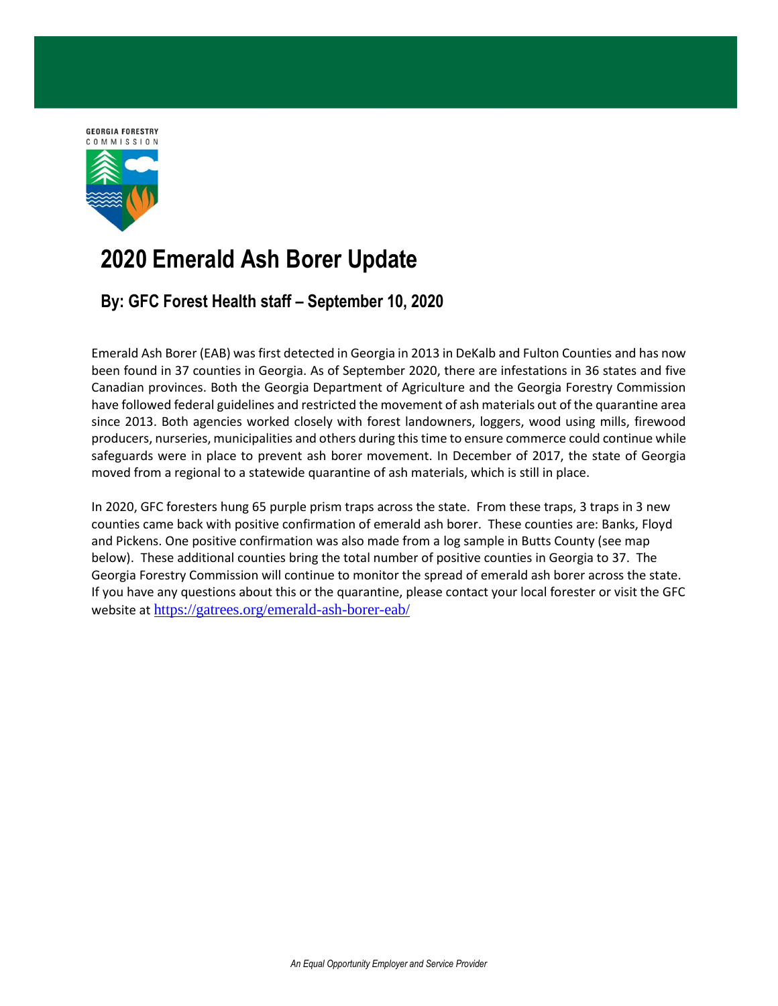

## **2020 Emerald Ash Borer Update**

## **By: GFC Forest Health staff – September 10, 2020**

Emerald Ash Borer (EAB) was first detected in Georgia in 2013 in DeKalb and Fulton Counties and has now been found in 37 counties in Georgia. As of September 2020, there are infestations in 36 states and five Canadian provinces. Both the Georgia Department of Agriculture and the Georgia Forestry Commission have followed federal guidelines and restricted the movement of ash materials out of the quarantine area since 2013. Both agencies worked closely with forest landowners, loggers, wood using mills, firewood producers, nurseries, municipalities and others during this time to ensure commerce could continue while safeguards were in place to prevent ash borer movement. In December of 2017, the state of Georgia moved from a regional to a statewide quarantine of ash materials, which is still in place.

In 2020, GFC foresters hung 65 purple prism traps across the state. From these traps, 3 traps in 3 new counties came back with positive confirmation of emerald ash borer. These counties are: Banks, Floyd and Pickens. One positive confirmation was also made from a log sample in Butts County (see map below). These additional counties bring the total number of positive counties in Georgia to 37. The Georgia Forestry Commission will continue to monitor the spread of emerald ash borer across the state. If you have any questions about this or the quarantine, please contact your local forester or visit the GFC website at <https://gatrees.org/emerald-ash-borer-eab/>